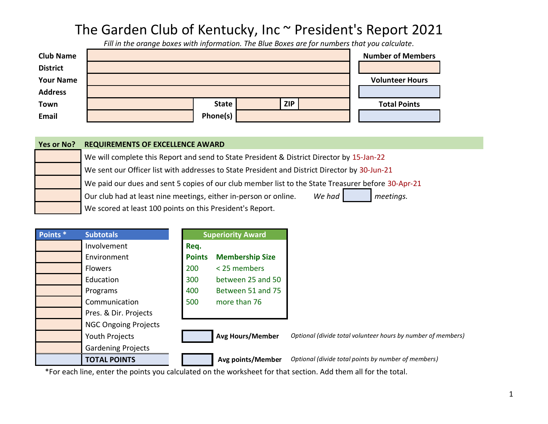## The Garden Club of Kentucky, Inc ~ President's Report 2021

*Fill in the orange boxes with information. The Blue Boxes are for numbers that you calculate.*

| <b>Club Name</b> |              |            | <b>Number of Members</b> |
|------------------|--------------|------------|--------------------------|
| <b>District</b>  |              |            |                          |
| <b>Your Name</b> |              |            | <b>Volunteer Hours</b>   |
| <b>Address</b>   |              |            |                          |
| Town             | <b>State</b> | <b>ZIP</b> | <b>Total Points</b>      |
| Email            | Phone(s)     |            |                          |

| Yes or No? | <b>REQUIREMENTS OF EXCELLENCE AWARD</b>                                                            |
|------------|----------------------------------------------------------------------------------------------------|
|            | We will complete this Report and send to State President & District Director by 15-Jan-22          |
|            | We sent our Officer list with addresses to State President and District Director by 30-Jun-21      |
|            | We paid our dues and sent 5 copies of our club member list to the State Treasurer before 30-Apr-21 |
|            | We had<br>Our club had at least nine meetings, either in-person or online.<br>meetings.            |
|            | We scored at least 100 points on this President's Report.                                          |

| Points <sup>*</sup> | <b>Subtotals</b>            |               | <b>Superiority Award</b> |  |
|---------------------|-----------------------------|---------------|--------------------------|--|
|                     | Involvement                 | Req.          |                          |  |
|                     | Environment                 | <b>Points</b> | <b>Membership Size</b>   |  |
|                     | <b>Flowers</b>              | 200           | < 25 members             |  |
|                     | Education                   | 300           | between 25 and 50        |  |
|                     | Programs                    | 400           | Between 51 and 75        |  |
|                     | Communication               | 500           | more than 76             |  |
|                     | Pres. & Dir. Projects       |               |                          |  |
|                     | <b>NGC Ongoing Projects</b> |               |                          |  |
|                     | Youth Projects              |               | <b>Avg Hours/Member</b>  |  |
|                     | <b>Gardening Projects</b>   |               |                          |  |
|                     | <b>TOTAL POINTS</b>         |               | Avg points/Member        |  |

\*For each line, enter the points you calculated on the worksheet for that section. Add them all for the total.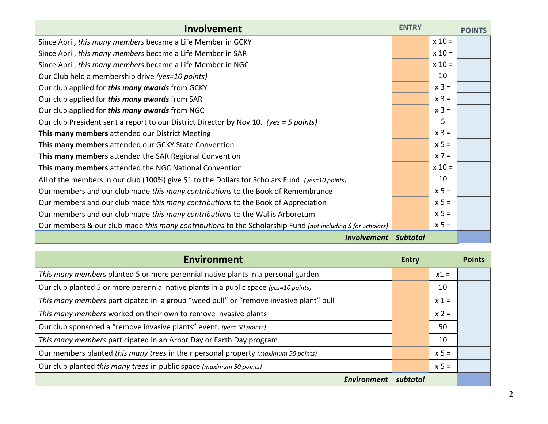| Involvement                                                                                                 | <b>ENTRY</b> |          | <b>POINTS</b> |
|-------------------------------------------------------------------------------------------------------------|--------------|----------|---------------|
| Since April, this many members became a Life Member in GCKY                                                 |              | $x 10 =$ |               |
| Since April, this many members became a Life Member in SAR                                                  |              | $x 10 =$ |               |
| Since April, this many members became a Life Member in NGC                                                  |              | $x 10 =$ |               |
| Our Club held a membership drive (yes=10 points)                                                            |              | 10       |               |
| Our club applied for this many awards from GCKY                                                             |              | $x 3 =$  |               |
| Our club applied for this many awards from SAR                                                              |              | $x 3 =$  |               |
| Our club applied for this many awards from NGC                                                              |              | $x 3 =$  |               |
| Our club President sent a report to our District Director by Nov 10. (yes = 5 points)                       |              | 5        |               |
| This many members attended our District Meeting                                                             |              | $x 3 =$  |               |
| This many members attended our GCKY State Convention                                                        |              | $x 5 =$  |               |
| This many members attended the SAR Regional Convention                                                      |              | $x 7 =$  |               |
| This many members attended the NGC National Convention                                                      |              | $x 10 =$ |               |
| All of the members in our club (100%) give \$1 to the Dollars for Scholars Fund (yes=10 points)             |              | 10       |               |
| Our members and our club made this many contributions to the Book of Remembrance                            |              | $x 5 =$  |               |
| Our members and our club made this many contributions to the Book of Appreciation                           |              | $x 5 =$  |               |
| Our members and our club made this many contributions to the Wallis Arboretum                               |              | $x 5 =$  |               |
| Our members & our club made this many contributions to the Scholarship Fund (not including \$ for Scholars) |              | $x 5 =$  |               |
| <b>Involvement</b>                                                                                          | Subtotal     |          |               |

| <b>Environment</b>                                                                    | Entry    |         | <b>Points</b> |
|---------------------------------------------------------------------------------------|----------|---------|---------------|
| This many members planted 5 or more perennial native plants in a personal garden      |          | $x1 =$  |               |
| Our club planted 5 or more perennial native plants in a public space (yes=10 points)  |          | 10      |               |
| This many members participated in a group "weed pull" or "remove invasive plant" pull |          | $x 1 =$ |               |
| This many members worked on their own to remove invasive plants                       |          | $x 2 =$ |               |
| Our club sponsored a "remove invasive plants" event. (yes= 50 points)                 |          | 50      |               |
| This many members participated in an Arbor Day or Earth Day program                   |          | 10      |               |
| Our members planted this many trees in their personal property (maximum 50 points)    |          | $x 5 =$ |               |
| Our club planted this many trees in public space (maximum 50 points)                  |          | $x 5 =$ |               |
| Environment                                                                           | subtotal |         |               |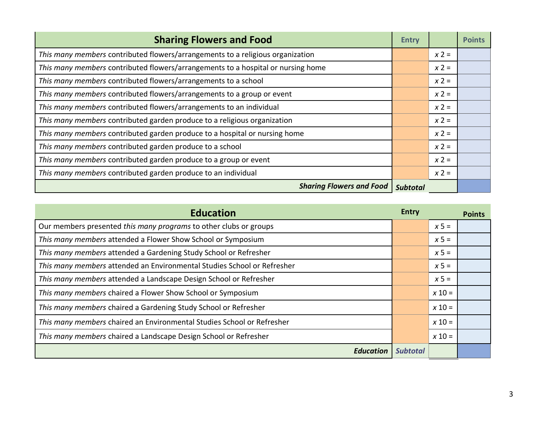| <b>Sharing Flowers and Food</b>                                                  | <b>Entry</b> |         | <b>Points</b> |
|----------------------------------------------------------------------------------|--------------|---------|---------------|
| This many members contributed flowers/arrangements to a religious organization   |              | $x 2 =$ |               |
| This many members contributed flowers/arrangements to a hospital or nursing home |              | $x 2 =$ |               |
| This many members contributed flowers/arrangements to a school                   |              | $x 2 =$ |               |
| This many members contributed flowers/arrangements to a group or event           |              | $x 2 =$ |               |
| This many members contributed flowers/arrangements to an individual              |              | $x 2 =$ |               |
| This many members contributed garden produce to a religious organization         |              | $x 2 =$ |               |
| This many members contributed garden produce to a hospital or nursing home       |              | $x 2 =$ |               |
| This many members contributed garden produce to a school                         |              | $x 2 =$ |               |
| This many members contributed garden produce to a group or event                 |              | $x 2 =$ |               |
| This many members contributed garden produce to an individual                    |              | $x 2 =$ |               |
| <b>Sharing Flowers and Food</b>                                                  | Subtotal     |         |               |

| <b>Education</b>                                                        | Entry           |          | <b>Points</b> |
|-------------------------------------------------------------------------|-----------------|----------|---------------|
| Our members presented this many programs to other clubs or groups       |                 | $x 5 =$  |               |
| This many members attended a Flower Show School or Symposium            |                 | $x 5 =$  |               |
| This many members attended a Gardening Study School or Refresher        |                 | $x 5 =$  |               |
| This many members attended an Environmental Studies School or Refresher |                 | $x 5 =$  |               |
| This many members attended a Landscape Design School or Refresher       |                 | $x 5 =$  |               |
| This many members chaired a Flower Show School or Symposium             |                 | $x 10 =$ |               |
| This many members chaired a Gardening Study School or Refresher         |                 | $x 10 =$ |               |
| This many members chaired an Environmental Studies School or Refresher  |                 | $x 10 =$ |               |
| This many members chaired a Landscape Design School or Refresher        |                 | $x 10 =$ |               |
| <b>Education</b>                                                        | <b>Subtotal</b> |          |               |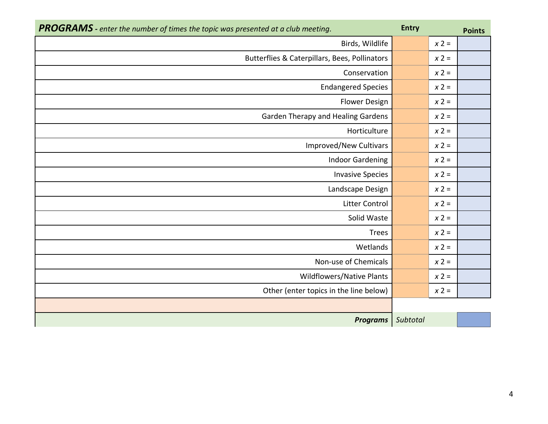| <b>PROGRAMS</b> - enter the number of times the topic was presented at a club meeting. | <b>Entry</b> |         | <b>Points</b> |
|----------------------------------------------------------------------------------------|--------------|---------|---------------|
| Birds, Wildlife                                                                        |              | $x 2 =$ |               |
| Butterflies & Caterpillars, Bees, Pollinators                                          |              | $x 2 =$ |               |
| Conservation                                                                           |              | $x 2 =$ |               |
| <b>Endangered Species</b>                                                              |              | $x 2 =$ |               |
| <b>Flower Design</b>                                                                   |              | $x 2 =$ |               |
| Garden Therapy and Healing Gardens                                                     |              | $x 2 =$ |               |
| Horticulture                                                                           |              | $x 2 =$ |               |
| <b>Improved/New Cultivars</b>                                                          |              | $x 2 =$ |               |
| <b>Indoor Gardening</b>                                                                |              | $x 2 =$ |               |
| <b>Invasive Species</b>                                                                |              | $x 2 =$ |               |
| Landscape Design                                                                       |              | $x 2 =$ |               |
| <b>Litter Control</b>                                                                  |              | $x 2 =$ |               |
| Solid Waste                                                                            |              | $x 2 =$ |               |
| <b>Trees</b>                                                                           |              | $x 2 =$ |               |
| Wetlands                                                                               |              | $x 2 =$ |               |
| Non-use of Chemicals                                                                   |              | $x 2 =$ |               |
| <b>Wildflowers/Native Plants</b>                                                       |              | $x 2 =$ |               |
| Other (enter topics in the line below)                                                 |              | $x 2 =$ |               |
|                                                                                        |              |         |               |
| <b>Programs</b>                                                                        | Subtotal     |         |               |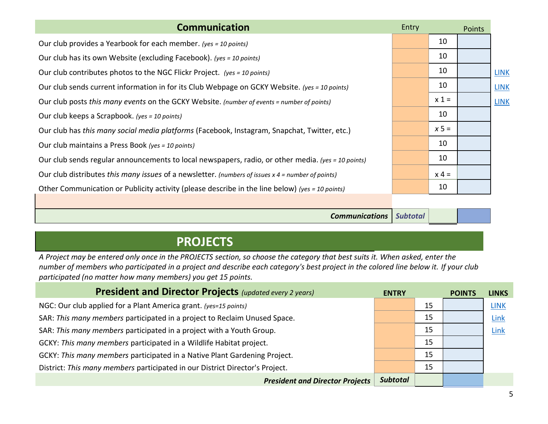| <b>Communication</b>                                                                                | Entry |         | Points |             |
|-----------------------------------------------------------------------------------------------------|-------|---------|--------|-------------|
| Our club provides a Yearbook for each member. (yes = 10 points)                                     |       | 10      |        |             |
| Our club has its own Website (excluding Facebook). (yes = 10 points)                                |       | 10      |        |             |
| Our club contributes photos to the NGC Flickr Project. (yes = 10 points)                            |       | 10      |        | <b>LINK</b> |
| Our club sends current information in for its Club Webpage on GCKY Website. (yes = 10 points)       |       | 10      |        | <b>LINK</b> |
| Our club posts this many events on the GCKY Website. (number of events = number of points)          |       | $x 1 =$ |        | <b>LINK</b> |
| Our club keeps a Scrapbook. (yes = 10 points)                                                       |       | 10      |        |             |
| Our club has this many social media platforms (Facebook, Instagram, Snapchat, Twitter, etc.)        |       | $x 5 =$ |        |             |
| Our club maintains a Press Book (yes = 10 points)                                                   |       | 10      |        |             |
| Our club sends regular announcements to local newspapers, radio, or other media. (yes = 10 points)  |       | 10      |        |             |
| Our club distributes this many issues of a newsletter. (numbers of issues $x$ 4 = number of points) |       | $x 4 =$ |        |             |
| Other Communication or Publicity activity (please describe in the line below) (yes = 10 points)     |       | 10      |        |             |
|                                                                                                     |       |         |        |             |

*Communications Subtotal*

## **PROJECTS**

*A Project may be entered only once in the PROJECTS section, so choose the category that best suits it. When asked, enter the number of members who participated in a project and describe each category's best project in the colored line below it. If your club participated (no matter how many members) you get 15 points.*

| <b>President and Director Projects (updated every 2 years)</b>               | <b>ENTRY</b>    |    | <b>POINTS</b> | <b>LINKS</b> |
|------------------------------------------------------------------------------|-----------------|----|---------------|--------------|
| NGC: Our club applied for a Plant America grant. (yes=15 points)             |                 | 15 |               | <b>LINK</b>  |
| SAR: This many members participated in a project to Reclaim Unused Space.    |                 | 15 |               | Link         |
| SAR: This many members participated in a project with a Youth Group.         |                 | 15 |               | Link         |
| GCKY: This many members participated in a Wildlife Habitat project.          |                 | 15 |               |              |
| GCKY: This many members participated in a Native Plant Gardening Project.    |                 | 15 |               |              |
| District: This many members participated in our District Director's Project. |                 | 15 |               |              |
| <b>President and Director Projects</b>                                       | <b>Subtotal</b> |    |               |              |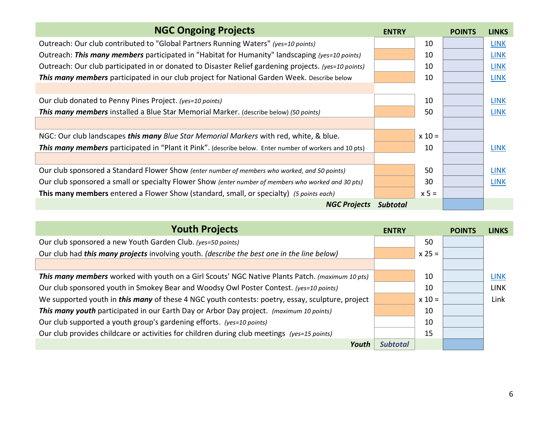| <b>NGC Ongoing Projects</b>                                                                             | <b>ENTRY</b>    |          | <b>POINTS</b> | <b>LINKS</b> |
|---------------------------------------------------------------------------------------------------------|-----------------|----------|---------------|--------------|
| Outreach: Our club contributed to "Global Partners Running Waters" (yes=10 points)                      |                 | 10       |               | <b>LINK</b>  |
| Outreach: This many members participated in "Habitat for Humanity" landscaping (yes=10 points)          |                 | 10       |               | <b>LINK</b>  |
| Outreach: Our club participated in or donated to Disaster Relief gardening projects. (yes=10 points)    |                 | 10       |               | <b>LINK</b>  |
| This many members participated in our club project for National Garden Week. Describe below             |                 | 10       |               | <b>LINK</b>  |
|                                                                                                         |                 |          |               |              |
| Our club donated to Penny Pines Project. (yes=10 points)                                                |                 | 10       |               | <b>LINK</b>  |
| This many members installed a Blue Star Memorial Marker. (describe below) (50 points)                   |                 | 50       |               | <b>LINK</b>  |
|                                                                                                         |                 |          |               |              |
| NGC: Our club landscapes this many Blue Star Memorial Markers with red, white, & blue.                  |                 | $x 10 =$ |               |              |
| This many members participated in "Plant it Pink". (describe below. Enter number of workers and 10 pts) |                 | 10       |               | <b>LINK</b>  |
|                                                                                                         |                 |          |               |              |
| Our club sponsored a Standard Flower Show (enter number of members who worked, and 50 points)           |                 | 50       |               | <b>LINK</b>  |
| Our club sponsored a small or specialty Flower Show (enter number of members who worked and 30 pts)     |                 | 30       |               | <b>LINK</b>  |
| This many members entered a Flower Show (standard, small, or specialty) (5 points each)                 |                 | $x 5 =$  |               |              |
| <b>NGC Projects</b>                                                                                     | <b>Subtotal</b> |          |               |              |

| <b>Youth Projects</b>                                                                                   | <b>ENTRY</b>    |          | <b>POINTS</b> | <b>LINKS</b> |
|---------------------------------------------------------------------------------------------------------|-----------------|----------|---------------|--------------|
| Our club sponsored a new Youth Garden Club. (yes=50 points)                                             |                 | 50       |               |              |
| Our club had this many projects involving youth. (describe the best one in the line below)              |                 | $x 25 =$ |               |              |
|                                                                                                         |                 |          |               |              |
| This many members worked with youth on a Girl Scouts' NGC Native Plants Patch. (maximum 10 pts)         |                 | 10       |               | LINK         |
| Our club sponsored youth in Smokey Bear and Woodsy Owl Poster Contest. (yes=10 points)                  |                 | 10       |               | <b>LINK</b>  |
| We supported youth in <i>this many</i> of these 4 NGC youth contests: poetry, essay, sculpture, project |                 | $x 10 =$ |               | Link         |
| This many youth participated in our Earth Day or Arbor Day project. (maximum 10 points)                 |                 | 10       |               |              |
| Our club supported a youth group's gardening efforts. (yes=10 points)                                   |                 | 10       |               |              |
| Our club provides childcare or activities for children during club meetings (yes=15 points)             |                 | 15       |               |              |
| Youth                                                                                                   | <b>Subtotal</b> |          |               |              |